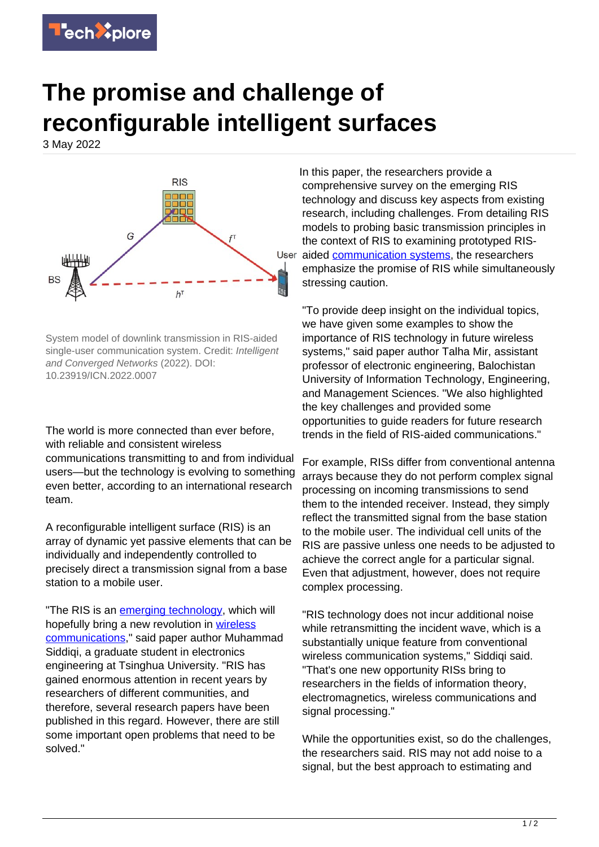

## **The promise and challenge of reconfigurable intelligent surfaces**

3 May 2022



System model of downlink transmission in RIS-aided single-user communication system. Credit: Intelligent and Converged Networks (2022). DOI: 10.23919/ICN.2022.0007

The world is more connected than ever before, with reliable and consistent wireless communications transmitting to and from individual users—but the technology is evolving to something even better, according to an international research team.

A reconfigurable intelligent surface (RIS) is an array of dynamic yet passive elements that can be individually and independently controlled to precisely direct a transmission signal from a base station to a mobile user.

"The RIS is an [emerging technology](https://techxplore.com/tags/emerging+technology/), which will hopefully bring a new revolution in [wireless](https://techxplore.com/tags/wireless+communications/) [communications,](https://techxplore.com/tags/wireless+communications/)" said paper author Muhammad Siddigi, a graduate student in electronics engineering at Tsinghua University. "RIS has gained enormous attention in recent years by researchers of different communities, and therefore, several research papers have been published in this regard. However, there are still some important open problems that need to be solved."

In this paper, the researchers provide a comprehensive survey on the emerging RIS technology and discuss key aspects from existing research, including challenges. From detailing RIS models to probing basic transmission principles in the context of RIS to examining prototyped RISUser aided [communication systems,](https://techxplore.com/tags/communication+systems/) the researchers emphasize the promise of RIS while simultaneously stressing caution.

"To provide deep insight on the individual topics, we have given some examples to show the importance of RIS technology in future wireless systems," said paper author Talha Mir, assistant professor of electronic engineering, Balochistan University of Information Technology, Engineering, and Management Sciences. "We also highlighted the key challenges and provided some opportunities to guide readers for future research trends in the field of RIS-aided communications."

For example, RISs differ from conventional antenna arrays because they do not perform complex signal processing on incoming transmissions to send them to the intended receiver. Instead, they simply reflect the transmitted signal from the base station to the mobile user. The individual cell units of the RIS are passive unless one needs to be adjusted to achieve the correct angle for a particular signal. Even that adjustment, however, does not require complex processing.

"RIS technology does not incur additional noise while retransmitting the incident wave, which is a substantially unique feature from conventional wireless communication systems," Siddiqi said. "That's one new opportunity RISs bring to researchers in the fields of information theory, electromagnetics, wireless communications and signal processing."

While the opportunities exist, so do the challenges, the researchers said. RIS may not add noise to a signal, but the best approach to estimating and